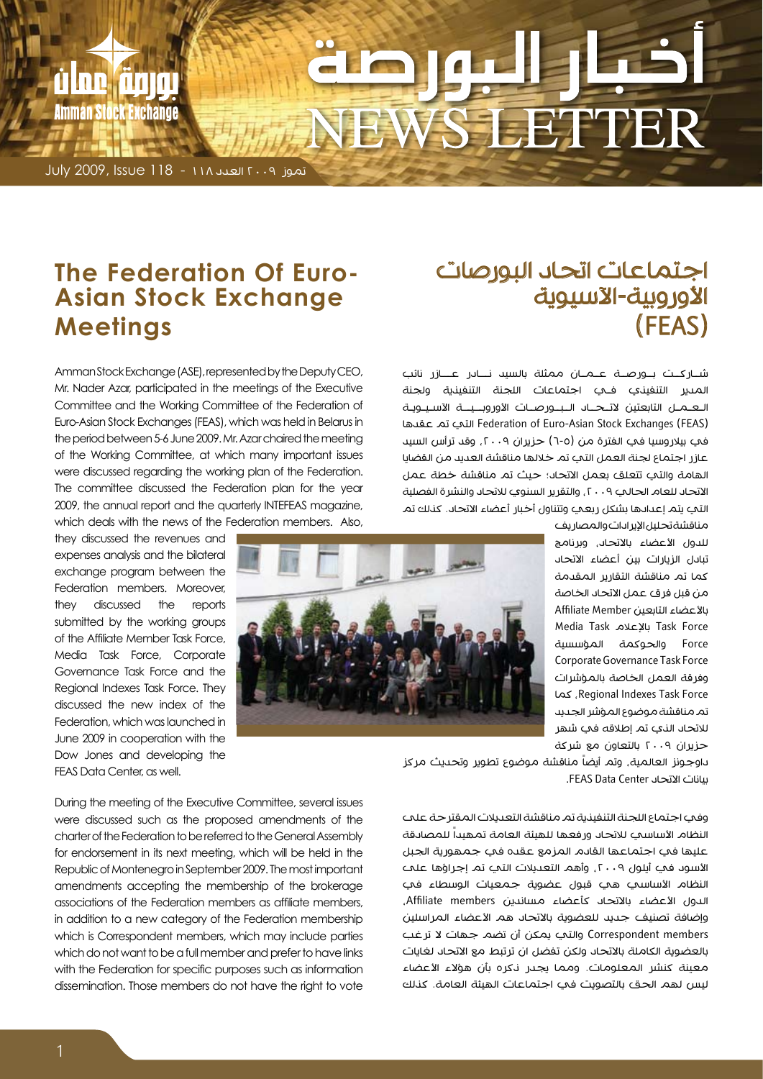# **VEWS LETTER**

تموز 2009 العدد 118 - 118 Issue 2009, July

a ne ann

Amman Stock Exchange

#### **Asian Stock Exchange The Federation Of Euro-Meetings**

Mr. Nader Azar, participated in the meetings of the Executive Committee and the Working Committee of the Federation of Euro-Asian Stock Exchanges (FEAS), which was held in Belarus in the period between 5-6 June 2009. Mr. Azar chaired the meeting of the Working Committee, at which many important issues were discussed reaarding the working plan of the Federation. The committee discussed the Federation plan for the year 2009, the annual report and the quarterly INTEFEAS magazine, which deals with the news of the Federation members. Also,

they discussed the revenues and expenses analysis and the bilateral exchange program between the Federation members. Moreover, they discussed the reports submitted by the working groups of the Affiliate Member Task Force, Media Task Force, Corporate Governance Task Force and the Regional Indexes Task Force. They discussed the new index of the Federation, which was launched in June 2009 in cooperation with the Dow Jones and developing the

Amman Stock Exchange (ASE), represented by the Deputy CEO,

FFAS Data Center as well.

During the meeting of the Executive Committee, several issues were discussed such as the proposed amendments of the charter of the Federation to be referred to the General Assembly for endorsement in its next meeting, which will be held in the Republic of Montenegro in September 2009. The most important amendments accepting the membership of the brokerage associations of the Federation members as affiliate members, in addition to a new category of the Federation membership which is Correspondent members, which may include parties which do not want to be a full member and prefer to have links with the Federation for specific purposes such as information dissemination. Those members do not have the right to vote

#### اجتماعات اتحاد البورصات الأوروبية-الآسيوية )FEAS)

شـــاركــت بـــورصـــة عـــمـــان ممثلة بالسيد نــــادر عـــــازر نائب المدير التنفيذي ف�ي اجتماعات اللجنة التنفيذية ولجنة الـعــمــل التابعتين لاتــحـــاد الــبــورصــات الأوروبـــيـــة الآسـيــويــة )FEAS (Exchanges Stock Asian-Euro of Federation التي تم عقدها في بيلاروسيا في الفترة من (٥-٦) حزيران ٢٠٠٩، وقد ترأس السيد عازر اجتماع لجنة العمل التي تم خاللها مناقشة العديد من القضايا الهامة والتي تتعلق بعمل االتحاد؛ حيث تم مناقشة خطة عمل الاتحاد للعام الحالي ٢٠٠٩ , والتقرير السنوي للاتحاد والنشرة الفصلية التي يتم إعدادها بشكل ربعي وتتناول أخبار أعضاء االتحاد. كذلك تم

> مناقشة تحليل الإير ادات والمصاريف للدول الأعضاء بالاتحاد، وبرنامج تبادل الزيارات بين أعضاء االتحاد كما تم مناقشة التقارير المقدمة من قبل فرق عمل االتحاد الخاصة باألعضاء التابعين Member Affiliate Force Task باإلعالم Task Media Force والحوكمة المؤسسية Corporate Governance Task Force وفرقة العمل الخاصة بالمؤشرات Force Task Indexes Regional، كما تم مناقشة موضوع المؤشر الجديد لالتحاد الذي تم إطالقه في شهر حزيران 2009 بالتعاون مع شركة

داوجونز العالمية، وتم أيضاً مناقشة موضوع تطوير وتحديث مركز بيانات االتحاد Center Data FEAS.

وفي اجتماع اللجنة التنفيذية تم مناقشة التعديالت المقترحة على النظام الأساسي للاتحاد ورفعها للهيئة العامة تمهيداً للمصادقة عليها في اجتماعها القادم المزمع عقده في جمهورية الجبل الأسود في أيلول ٢٠٠٩، وأهم التعديلات التي تم إجراؤها على النظام الأساسي هي قبول عضوية جمعيات الوسطاء في الدول األعضاء باالتحاد كأعضاء مساندين members Affiliate، وإضافة تصنيف جديد للعضوية بالاتحاد هم الأعضاء المراسلين Correspondent members والتي يمكن أن تضم جهات لا ترغب بالعضوية الكاملة باالتحاد ولكن تفضل ان ترتبط مع االتحاد لغايات معينة كنشر المعلومات. ومما يجدر ذكره بأن هؤالء األعضاء ليس لهم الحق بالتصويت في اجتماعات الهيئة العامة. كذلك

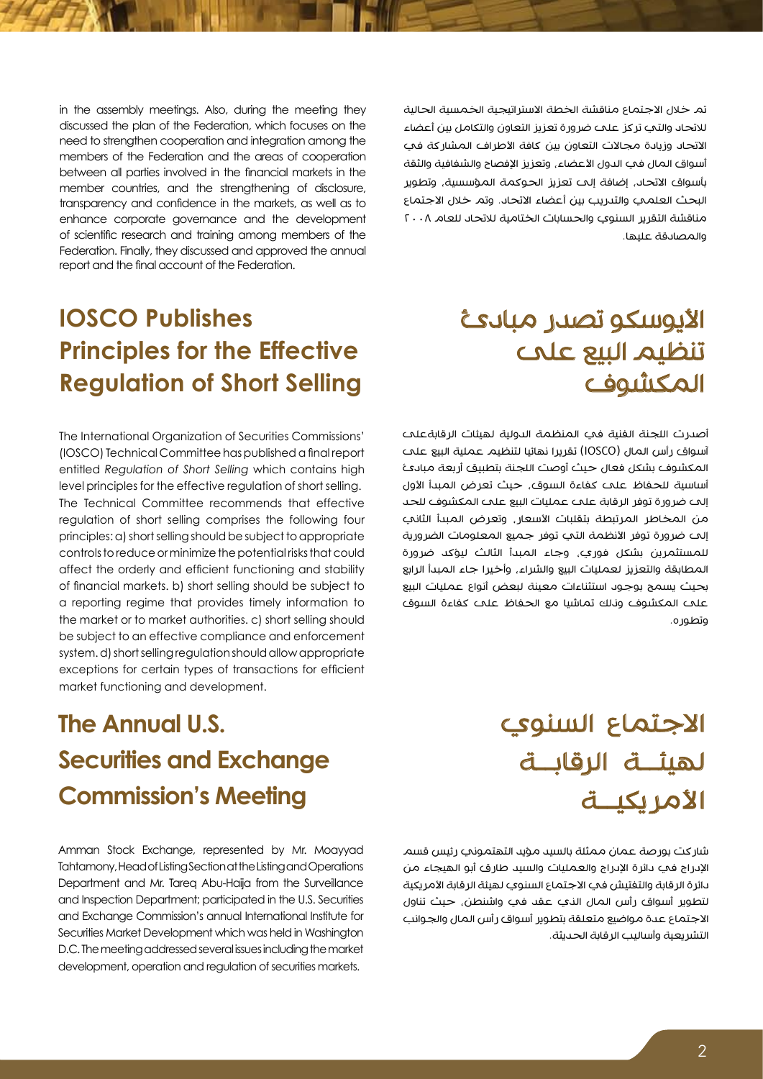تم خلال الاجتماع مناقشة الخطة الاستراتيجية الخمسية الحالية لالتحاد والتي تركز على ضرورة تعزيز التعاون والتكامل بين أعضاء الاتحاد وزيادة مجالات التعاون بين كافة الأطراف المشاركة في أسواق المال في الدول الأعضاء، وتعزيز الإفصاح والشفافية والثقة بأسواق االتحاد، إضافة إلى تعزيز الحوكمة المؤسسية، وتطوير البحث العلمي والتدريب بين أعضاء الاتحاد. وتم خلال الاجتماع مناقشة التقرير السنوي والحسابات الختامية لالتحاد للعام 2008 والمصادقة عليها.

in the assembly meetings. Also, during the meeting they discussed the plan of the Federation, which focuses on the need to strengthen cooperation and integration among the members of the Federation and the areas of cooperation between all parties involved in the financial markets in the member countries, and the strengthening of disclosure, transparency and confidence in the markets, as well as to enhance corporate governance and the development of scientific research and training among members of the Federation. Finally, they discussed and approved the annual report and the final account of the Federation.

#### **IOSCO** Publishes **Principles for the Effective Regulation of Short Selling**

The International Organization of Securities Commissions' (IOSCO) Technical Committee has published a final report entitled Regulation of Short Selling which contains high level principles for the effective regulation of short selling. The Technical Committee recommends that effective regulation of short selling comprises the following four principles: a) short selling should be subject to appropriate controls to reduce or minimize the potential risks that could affect the orderly and efficient functioning and stability of financial markets, b) short selling should be subject to a reporting regime that provides timely information to the market or to market authorities. c) short selling should be subject to an effective compliance and enforcement system. d) short selling regulation should allow appropriate exceptions for certain types of transactions for efficient market functioning and development.

#### األيوسكو تصدر مبادئ تنظيم البيع على المكشوف

أصدرت اللجنة الفنية في المنظمة الدولية لهيئات الرقابةعلى آسواق رأس المال )IOSCO )تقريرا نهائيا لتنظيم عملية البيع على المكشوف بشكل فعال حيث أوصت اللجنة بتطبيق أربعة مبادئ أساسية للحفاظ على كفاءة السوق، حيث تعرض المبدأ األول إلى ضرورة توفر الرقابة على عمليات البيع على المكشوف للحد من المخاطر المرتبطة بتقلبات األسعار، وتعرض المبدأ الثاني إلى ضرورة توفر الأنظمة التي توفر جميع المعلومات الضرورية للمستثمرين بشكل فوري، وجاء المبدأ الثالث ليؤكد ضرورة المطابقة والتعزيز لعمليات البيع والشراء، وأخيرا جاء المبدأ الرابع بحيث يسمح بوجود استثناءات معينة لبعض أنواع عمليات البيع على المكشوف وذلك تماشيا مع الحفاظ على كفاءة السوق وتطوره.

### **The Annual U.S. Securities and Exchange Commission's Meeting**

Amman Stock Exchange, represented by Mr. Moayyad Tahtamony, Head of Listing Section at the Listing and Operations Department and Mr. Tareq Abu-Haija from the Surveillance and Inspection Department; participated in the U.S. Securities and Exchange Commission's annual International Institute for Securities Market Development which was held in Washington D.C. The meeting addressed several issues including the market development, operation and regulation of securities markets.

## االجتماع السنوي لهيئــة الرقابــة األمريكيــة

شاركت بورصة عمان ممثلة بالسيد مؤيد التهتموني رئيس قسم الإدراج في دائرة الإدراج والعمليات والسيد طارق أبو الهيجاء من دائرة الرقابة والتفتيش في الاجتماع السنوي لهيئة الرقابة الأمريكية لتطوير أسواق رأس المال الذي عقد في واشنطن، حيث تناول االجتماع عدة مواضيع متعلقة بتطوير أسواق رأس المال والجوانب التشريعية وأساليب الرقابة الحديثة.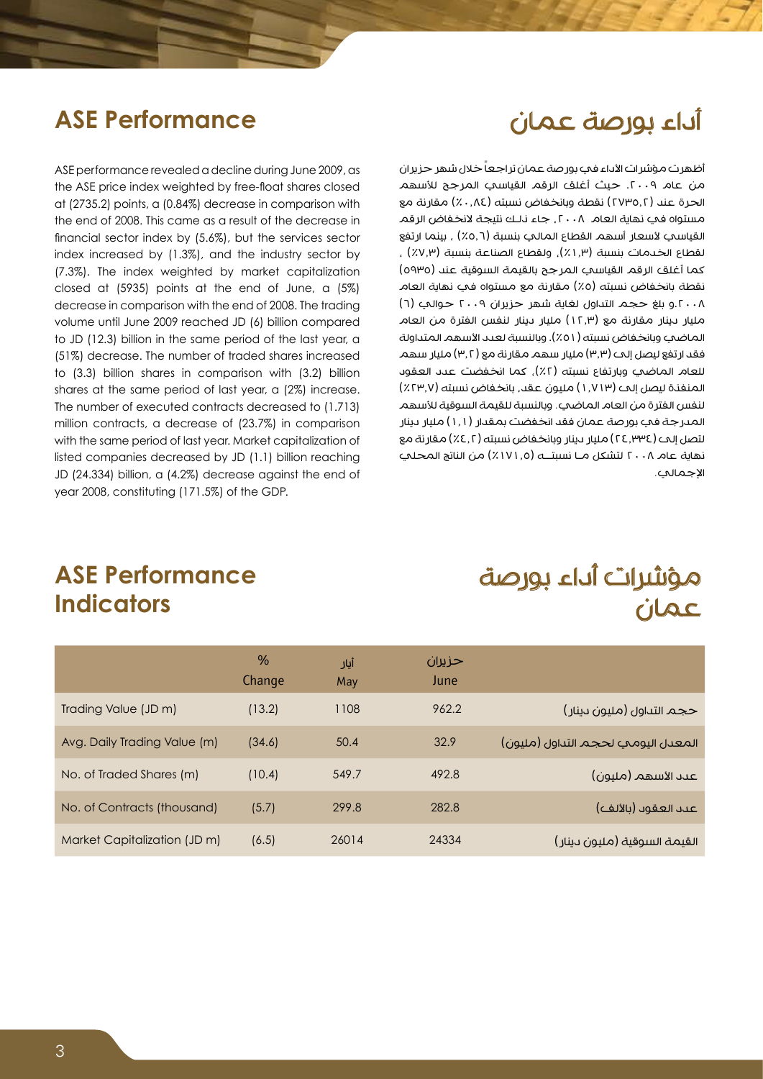#### أداء بورصة عمان

#### **ASE Performance**

ASE performance revealed a decline during June 2009, as the ASE price index weighted by free-float shares closed at (2735.2) points, a (0.84%) decrease in comparison with the end of 2008. This came as a result of the decrease in financial sector index by  $(5.6%)$ , but the services sector index increased by  $(1.3\%)$ , and the industry sector by (7.3%). The index weighted by market capitalization closed at  $(5935)$  points at the end of June, a  $(5\%)$ decrease in comparison with the end of 2008. The trading volume until June 2009 reached JD (6) billion compared to JD (12.3) billion in the same period of the last year, a (51%) decrease. The number of traded shares increased to  $(3.3)$  billion shares in comparison with  $(3.2)$  billion shares at the same period of last year, a (2%) increase. The number of executed contracts decreased to (1.713) million contracts, a decrease of (23.7%) in comparison with the same period of last year. Market capitalization of listed companies decreased by JD (1.1) billion reaching JD (24.334) billion, a (4.2%) decrease against the end of year 2008, constituting (171.5%) of the GDP.

أظهرت مؤشر ات الأداء في بور صة عمان تر اجعاً خلال شهر حزير ان من عام ٢٠٠٩. حيث أغلق الرقم القياسي المرجح للأسهم الحرة عند (٢٧٣٥,٢) نقطة وبانخفاض نسبته (٨٤,٨٤) مقارنة مع مستواه فح نهاية العام ٢٠٠٨، جاء نلك نتيجة لانخفاض الرقم القياسي لأسعار أسهم القطاع المالي بنسبة (٥,٦٪) , بينما ارتفع لقطاع الخدمات بنسبة (١.٣٪), ولقطاع الصناعة بنسبة (٧.٣٪) ، كما أغلق الرقم القياسي المرجح بالقيمة السوقية عند (٥٩٣٥) نقطة بانخفاض نسبته (٥٪) مقارنة مع مستواه في نهاية العام .2008و بلغ حجم التداول لغاية شهر حزيران 2009 حوالي )6( مليار دينار مقارنة مع )12.3( مليار دينار لنفس الفترة من العام الماضي وبانخفاض نسبته (٥١٪). وبالنسبة لعدد الأسهم المتداولة فقد ارتفع ليصل إلى (٣,٣) مليار سهم مقارنة مع (٣,٢) مليار سهم للعام الماضمي وبارتفاع نسبته (٢٪), كما انخفضت عدد العقود المنفذة ليصل إلى )1.713( مليون عقد، بانخفاض نسبته )%23.7( لنفس الفترة من العام الماضي. وبالنسبة للقيمة السوقية لألسهم المدرجة في بورصة عمان فقد انخفضت بمقدار )1.1( مليار دينار لتصل إلى (٢٤,٣٣٤) مليار دينار وبانخفاض نسبته (٤,٢٪) مقارنة مع نهاية عام 2008 لتشكل مـا نسبتــه )%171.5( من الناتج المحلي اإلجمالي.

#### **ASE Performance Indicators**

#### مؤشرات أداء بورصة عمان

|                              | $\%$<br>Change | أيار<br>May | حزيران<br>June |                                    |
|------------------------------|----------------|-------------|----------------|------------------------------------|
| Trading Value (JD m)         | (13.2)         | 1108        | 962.2          | حجم التداول (مليون دينار)          |
| Avg. Daily Trading Value (m) | (34.6)         | 50.4        | 32.9           | المعدل اليومي لحجم التداول (مليون) |
| No. of Traded Shares (m)     | (10.4)         | 549.7       | 492.8          | عىد الأسهم (مليون)                 |
| No. of Contracts (thousand)  | (5.7)          | 299.8       | 282.8          | عىد العقود (بالألف)                |
| Market Capitalization (JD m) | (6.5)          | 26014       | 24334          | القيمة السوقية (مليون دينار)       |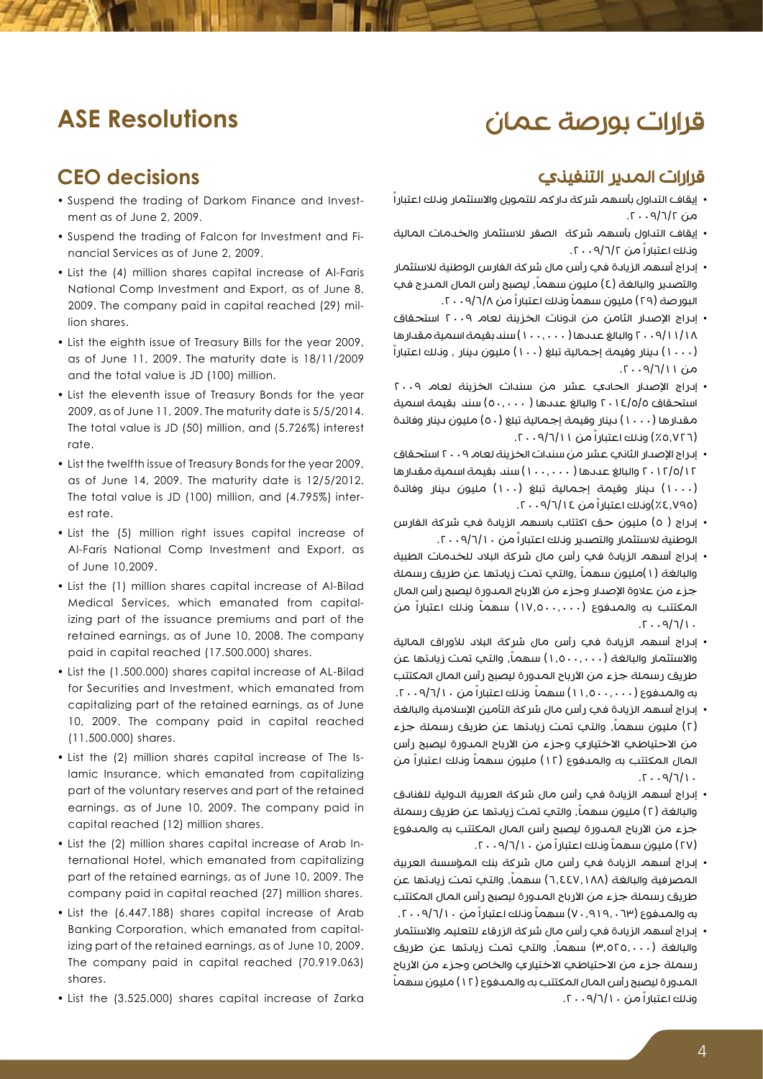#### قرارات بورصة عمان

#### **ASE Resolutions**

#### **CEO** decisions

- Suspend the trading of Darkom Finance and Invest-<br>ment as of June 2, 2009.
- Suspend the trading of Falcon for Investment and Financial Services as of June 2, 2009.
- List the (4) million shares capital increase of Al-Faris National Comp Investment and Export, as of June 8, 2009. The company paid in capital reached (29) mil-<br>lion shares.
- List the eighth issue of Treasury Bills for the year 2009, as of June 11, 2009. The maturity date is  $18/11/2009$ and the total value is JD (100) million.
- List the eleventh issue of Treasury Bonds for the year 2009, as of June 11, 2009. The maturity date is 5/5/2014. The total value is JD (50) million, and (5.726%) interest .rate
- List the twelfth issue of Treasury Bonds for the year 2009, as of June 14, 2009. The maturity date is  $12/5/2012$ . The total value is JD (100) million, and (4.795%) inter-<br>est rate.
- List the (5) million right issues capital increase of Al-Faris National Comp Investment and Export, as of June 10,2009.
- List the (1) million shares capital increase of Al-Bilad izing part of the issuance premiums and part of the Medical Services, which emanated from capitalretained earnings, as of June 10, 2008. The company paid in capital reached (17.500.000) shares.
- List the (1.500.000) shares capital increase of AL-Bilad for Securities and Investment, which emanated from capitalizing part of the retained earnings, as of June 10, 2009. The company paid in capital reached  $(11.500.000)$  shares.
- lamic Insurance, which emanated from capitalizing • List the (2) million shares capital increase of The Ispart of the voluntary reserves and part of the retained earnings, as of June 10, 2009. The company paid in capital reached (12) million shares.
- ternational Hotel, which emanated from capitalizing • List the (2) million shares capital increase of Arab Inpart of the retained earnings, as of June 10, 2009. The company paid in capital reached (27) million shares.
- List the (6.447.188) shares capital increase of Arab izing part of the retained earnings, as of June 10, 2009. Banking Corporation, which emanated from capital-The company paid in capital reached (70.919.063) .shares
- List the (3.525.000) shares capital increase of Zarka

- **قرارات المدير التنفيذي**<br>· يقاف التداول بأسهم شركة داركم للتمويل والاستثمار وذلك اعتباراً  $\alpha$ من  $7/\Gamma$ /۲۰۰۹.
- إيقاف التداول بأسهم شركة الصقر لالستثمار والخدمات المالية وذلك اعتباراً من ٢٠٠٩/٦/٢
- إدراج أسهم الزيادة في رأس مال شركة الفارس الوطنية لالستثمار والتصدير والبالغة (٤) مليون سهماً, ليصبح رأس المال المدرج في البور صة (٢٩) مليون سهماً وناك اعتباراً من ١٢٠٨٩/٨.
- إدراج اإلصدار الثامن من اذونات الخزينة لعام 2009 استحقاق 2009/11/18 والبالغ عددها ) 100.000( سند بقيمة اسمية مقدارها )1000( دينار وقيمة إجمالية تبلغ )100( مليون دينار ، وذلك اعتباراً من ۱۱/۲/۹/۱۱.
- إدراج الإصدار الحادي عشر من سندات الخزينة لعام ٢٠٠٩ استحقاق 2014/5/5 والبالغ عددها ) 50.000( سند بقيمة اسمية مقدارها (١٠٠٠) دينار وقيمة إجمالية تبلغ (٥٠) مليون دينار وفائدة (٥,٧٢٦٪) وناك اعتباراً من ١١/٦/١٦. ٢٠٠٩.
- إدراج الإصدار الثاني عشر من سندات الخزينة لعام ٢٠٠٩ استحقاق 2012/5/12 والبالغ عددها ) 100.000( سند بقيمة اسمية مقدارها )1000( دينار وقيمة إجمالية تبلغ )100( مليون دينار وفائدة (٤.٧٩٥/١٤٪)وناك اعتباراً من ١٤/٢٠٠٩/٦/١٤
- إدراج ( ٥) مليون حق اكتتاب باسهم الزيادة في شركة الفارس الوطنية لالستثمار والتصدير وذلك اعتباراً من .2009/6/10
- إدراج أسهم الزيادة في رأس مال شركة البالد للخدمات الطبية والبالغة (١)مليون سهماً ,والتب تمت زيادتها عن طريق رسملة جزء من علاوة الإصدار وجزء من الأرباح المدورة ليصبح رأس المال المكتتب به والمــــفوع (١٧,٥٠٠,٠٠٠) سهماً ونـلك اعتباراً من  $.1\cdot9/7/1.$
- إدراج أسهم الزيادة في رأس مال شركة البالد لألوراق المالية والاستثمار والبالغة (١,٥٠٠,٠٠٠) سهماً، والتي تمت زيادتها عن طريق رسملة جزء من الأرباح المدورة ليصبح رأس المال المكتتب به والمدفوع (١١,٥٠٠,٠٠٠) سهماً ونلك اعتباراً من ١٠١٠/١٠٩.
- إدراج أسهم الزيادة في رأس مال شركة التأمين الإسلامية والبالغة (٢) مليون سهماً، والتي تمت زيادتها عن طريق رسملة جزء من الاحتياطي الاختياري وجزء من الأرباح المدورة ليصبح رأس المال المكتتب به والمـــفوع (١٢) مليون سهماً ونـلك اعتباراً من  $.1\cdot9/7/1.$
- إدراج أسهم الزيادة في رأس مال شركة العربية الدولية للفنادق والبالغة (٢) مليون سهماً, والتي تمت زيادتها عن طريق رسملة جزء من الأرباح المدورة ليصبح رأس المال المكتتب به والمدفوع (٢٧) مليون سهماً وناك اعتباراً من ١٠/٩/١٠. ٢٠٠٩.
- إدراج أسهم الزيادة في رأس مال شركة بنك المؤسسة العربية المصرفية والبالغة (٦,٤٤٧,١٨٨) سهماً، والتي تمت زيادتها عن طريق رسملة جزء من الأرباح المدورة ليصبح رأس المال المكتتب به والمدفوع (٧٠,٩١٩, ٠٧٠) سهماً ونالك اعتباراً من ١٠/٦/١٠. ٢٠.
- إدراج أسهم الزيادة في رأس مال شركة الزرقاء للتعليم واالستثمار والبالغة (٣,٥٢٥,٠٠٠) سهماً، والتبَ تمت زيادتها عن طريق رسملة جزء من الاحتياطي الاختياري والخاص وجزء من الأرباح ً المدورة ليصبح رأس المال المكتتب به والمدفوع )12( مليون سهما وذلك اعتباراً من ١٠/٦/١٠ . ٢٠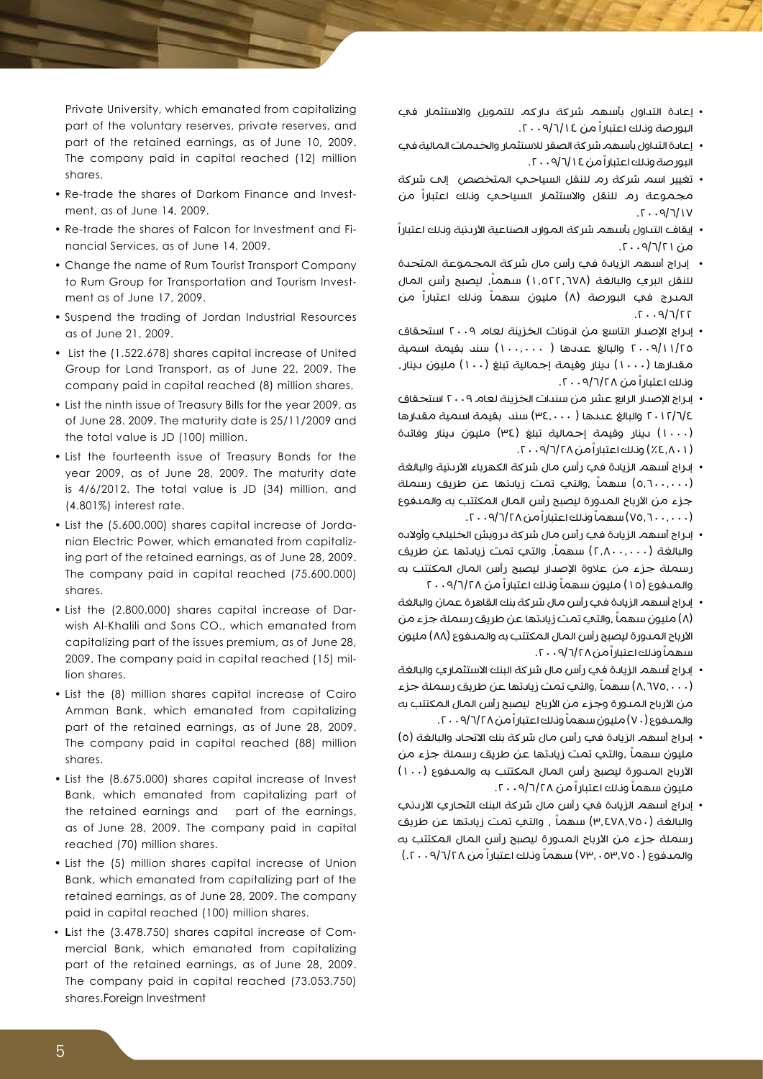Private University, which emanated from capitalizing part of the voluntary reserves, private reserves, and part of the retained earnings, as of June 10, 2009. The company paid in capital reached (12) million shares.

- Re-trade the shares of Darkom Finance and Invest-<br>ment, as of June 14, 2009.
- Re-trade the shares of Falcon for Investment and Financial Services, as of June 14, 2009.
- Change the name of Rum Tourist Transport Company to Rum Group for Transportation and Tourism Invest-<br>ment as of June 17, 2009.
- Suspend the trading of Jordan Industrial Resources as of June 21, 2009.
- List the (1.522.678) shares capital increase of United Group for Land Transport, as of June 22, 2009. The company paid in capital reached (8) million shares.
- List the ninth issue of Treasury Bills for the year 2009, as of June 28, 2009. The maturity date is  $25/11/2009$  and the total value is JD (100) million.
- List the fourteenth issue of Treasury Bonds for the year 2009, as of June 28, 2009. The maturity date is  $4/6/2012$ . The total value is JD  $(34)$  million, and  $(4.801\%)$  interest rate.
- ing part of the retained earnings, as of June 28, 2009. nian Electric Power, which emanated from capitaliz-• List the (5.600.000) shares capital increase of Jorda-The company paid in capital reached (75.600.000) .shares
- List the (2.800.000) shares capital increase of Darvish Al-Khalili and Sons CO., which emanated from capitalizing part of the issues premium, as of June 28, 2009. The company paid in capital reached (15) mil-<br>lion shares.
- List the (8) million shares capital increase of Cairo Amman Bank, which emanated from capitalizing part of the retained earnings, as of June 28, 2009. The company paid in capital reached (88) million shares.
- List the (8.675.000) shares capital increase of Invest Bank, which emanated from capitalizing part of the retained earnings and part of the earnings, as of June 28, 2009. The company paid in capital reached (70) million shares.
- List the (5) million shares capital increase of Union Bank, which emanated from capitalizing part of the retained earnings, as of June 28, 2009. The company paid in capital reached (100) million shares.
- mercial Bank, which emanated from capitalizing • List the (3.478.750) shares capital increase of Compart of the retained earnings, as of June 28, 2009. The company paid in capital reached (73.053.750) shares.Foreign Investment
- إعادة التداول بأسهم شركة داركم للتمويل واالستثمار في البورصة ونلك اعتبارا من ١٤/٥/١٤ . ٢٠٠٩
- إعادة التداول بأسهم شركة الصقر لالستثمار والخدمات المالية في البور صة ونلك اعتبار اً من ١٤/٧/٩/٠٩.
- تغيير اسم شركة رم للنقل السياحي المتخصص إلى شركة مجموعة رم للنقل واالستثمار السياحي وذلك اعتباراً من  $T \cdot 9/7/1V$
- إيقاف التداول بأسهم شركة الموارد الصناعية الأردنية ونلك اعتباراً  $\alpha$ من ۱ ۲/۲/۲۰۰۹.
- إدراج أسهم الزيادة في رأس مال شركة المجموعة المتحدة للنقل البري والبالغة (١,٥٢٢,٦٧٨) سهماً، ليصبح رأس المال المدرج في البورصة (٨) مليون سهماً وناك اعتباراً من  $.7.9/7/77$
- إدراج اإلصدار التاسع من اذونات الخزينة لعام 2009 استحقاق 2009/11/25 والبالغ عددها ) 100.000( سند بقيمة اسمية مقدارها (١٠٠٠) دينار وقيمة إجمالية تبلغ (١٠٠) مليون دينار، وذلك اعتباراً من ٢٠/٦/٢٨. ٢٠٠٩
- إدراج اإلصدار الرابع عشر من سندات الخزينة لعام 2009 استحقاق 2012/6/4 والبالغ عددها ) 34.000( سند بقيمة اسمية مقدارها )1000( دينار وقيمة إجمالية تبلغ )34( مليون دينار وفائدة )%4.801( وذلك اعتباراً من .2009/6/28
- إدراج أسهم الزيادة في رأس مال شركة الكهرباء األردنية والبالغة (٥,٦٠٠,٠٠٠) سهماً ,والتي تمت زيادتها عن طريق رسملة جزء من الأرباح المدورة ليصبح رأس المال المكتتب به والمدفوع (۷۵٫۱۰۰,۰۰۰) سهماً ونلك اعتباراً من ۲۸/۲/۹۰۰۸.
- إدراج أسهم الزيادة في رأس مال شركة درويش الخليلي وأوالده والبالغة (٢,٨٠٠,٠٠٠) سهماً، والتب تمت زيادتها عن طريق رسملة جزء من عالوة اإلصدار ليصبح رأس المال المكتتب به والمدفوع (١٥) مليون سهماً وناك اعتباراً من ٢٠٠٩/٦/٢٨
- إدراج أسهم الزيادة في رأس مال شركة بنك القاهرة عمان والبالغة (٨) مليون سهماً ,والتي تمت زيادتها عن طريق رسملة جزء من الأرباح المدورة ليصبح رأس المال المكتتب به والمدفوع (٨٨) مليون سهماً وناك اعتبار اً من ٢٨/٢٨/ ٢٠٠٩.
- إدراج أسهم الزيادة في رأس مال شركة البنك الاستثماري والبالغة (٨,٦٧٥,٠٠٠) سهماً ,والتبي تمت زيادتها عن طريق رسملة جزء من الأرباح المدورة وجزء من الأرباح ليصبح رأس المال المكتتب به والمدفوع (٧٠) مليون سهماً ونلك اعتبار اً من ٢٠٠٩/٢٨، ٢٠.
- إدراج أسهم الزيادة في رأس مال شركة بنك الاتحاد والبالغة (٥) مليون سهماً ,والتي تمت زيادتها عن طريق رسملة جزء من الأرباح المدورة ليصبح رأس المال المكتتب به والمدفوع (١٠٠) مليون سهماً ونلك اعتباراً من ١٢٨/٩/١٠٩.
- إدراج أسهم الزيادة في رأس مال شركة البنك التجاري الأردني والبالغة (٣,٤٧٨,٧٥٠) سهماً , والتي تمت زيادتها عن طريق رسملة جزء من الأرباح المدورة ليصبح رأس المال المكتتب به والمدفوع (٧٥٠,٧٣,٠٥٣) سهماً ونلك اعتباراً من ٢٠٨/٢٨. ٢٠.)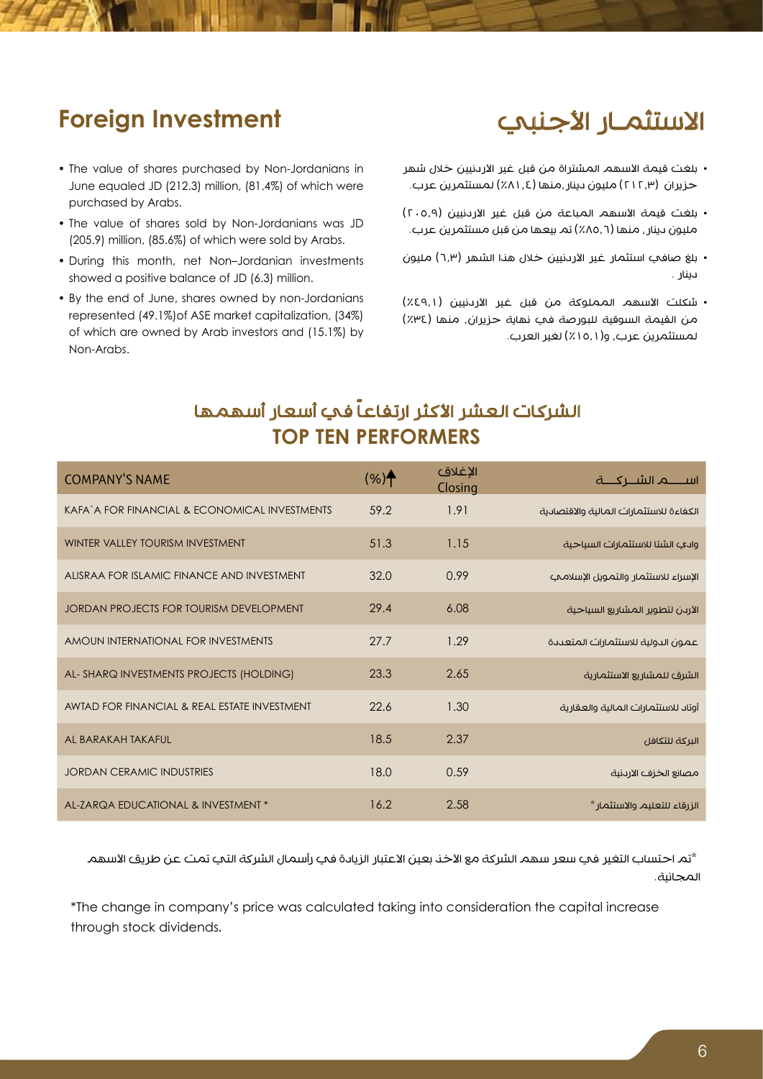#### الاستثمـار الأجنبي

#### **Foreign Investment**

- The value of shares purchased by Non-Jordanians in June equaled JD (212.3) million, (81.4%) of which were purchased by Arabs.
- The value of shares sold by Non-Jordanians was JD  $(205.9)$  million,  $(85.6\%)$  of which were sold by Arabs.
- During this month, net Non-Jordanian investments showed a positive balance of JD (6.3) million.
- By the end of June, shares owned by non-Jordanians represented (49.1%) of ASE market capitalization, (34%) of which are owned by Arab investors and (15.1%) by Non-Arabs.
- بلغت قيمة الأسهم المشتراة من قبل غير الأردنيين خلال شهر حزيران (٢١٢,٣) مليون دينار،منها (٨١,٤/ لمستثمرين عرب.
- بلغت قيمة الأسهم المباعة من قبل غير الأردنيين (٢٠٥.٩) مليون دينار، منها (٨٥,٦٪) تم بيعها من قبل مستثمرين عرب.
- بلغ صافي استثمار غير الأردنيين خلال هذا الشهر (٦,٣) مليون دينار .
- شكلت الأسهم المملوكة من قبل غير الأردنيين (٤٩,١٪) من القيمة السوقية للبورصة في نهاية حزيران، منها (٣٤٪) لمستثمرين عرب، و(١٥,١١٪) لغير العرب.

#### الشركات العشر الأكثر ارتفاعاً في أسعار أسهمها **TOP TEN PERFORMERS**

| <b>COMPANY'S NAME</b>                          | $(%)^*$ | الإغلاق<br>Closing | اســـــــــــم الشـــــركـــــــة       |
|------------------------------------------------|---------|--------------------|-----------------------------------------|
| KAFA' A FOR FINANCIAL & ECONOMICAL INVESTMENTS | 59.2    | 1.91               | الكفاءة للاستثمارات المالية والاقتصادية |
| WINTER VALLEY TOURISM INVESTMENT               | 51.3    | 1.15               | وادي الشتا للاستثمارات السياحية         |
| ALISRAA FOR ISLAMIC FINANCE AND INVESTMENT     | 32.0    | 0.99               | الإسراء للاستثمار والتمويل الإسلامي     |
| JORDAN PROJECTS FOR TOURISM DEVELOPMENT        | 29.4    | 6.08               | الأردن لتطوير المشاريع السياحية         |
| AMOUN INTERNATIONAL FOR INVESTMENTS            | 27.7    | 1.29               | عمون الدولية للاستثمارات المتعددة       |
| AL-SHARQ INVESTMENTS PROJECTS (HOLDING)        | 23.3    | 2.65               | الشرق للمشاريع الاستثمارية              |
| AWTAD FOR FINANCIAL & REAL ESTATE INVESTMENT   | 22.6    | 1.30               | أوتاد للاستثمارات المالية والعقارية     |
| AL BARAKAH TAKAFUL                             | 18.5    | 2.37               | البركة للتكافل                          |
| <b>JORDAN CERAMIC INDUSTRIES</b>               | 18.0    | 0.59               | مصانع الخزف الاردنية                    |
| AL-ZARQA EDUCATIONAL & INVESTMENT *            | 16.2    | 2.58               | الزرقاء للتعليم والاستثمار *            |

\*تم احتساب التغير في سعر سهم الشركة مع الأخذ بعين الاعتبار الزيادة في رأسمال الشركة التي تمت عن طريق الأسهم المجانية.

\*The change in company's price was calculated taking into consideration the capital increase through stock dividends.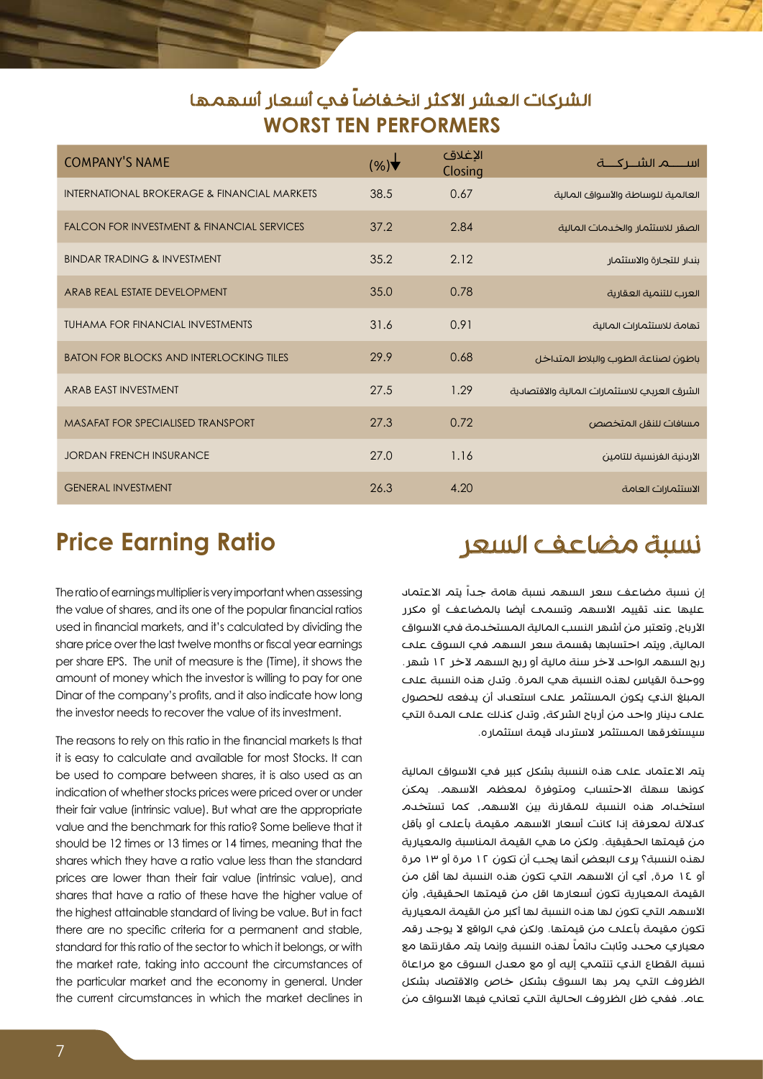#### الشركات العشر الأكثر انخفاضاً في أسعار أسهمها **WORST TEN PERFORMERS**

| <b>COMPANY'S NAME</b>                                 | (%)  | الإغلاق<br>Closing |                                              |
|-------------------------------------------------------|------|--------------------|----------------------------------------------|
| INTERNATIONAL BROKERAGE & FINANCIAL MARKETS           | 38.5 | 0.67               | العالمية للوساطة والأسواق المالية            |
| <b>FALCON FOR INVESTMENT &amp; FINANCIAL SERVICES</b> | 37.2 | 2.84               | الصقر للاستثمار والخدمات المالية             |
| <b>BINDAR TRADING &amp; INVESTMENT</b>                | 35.2 | 2.12               | بندار للتجارة والاستثمار                     |
| ARAB REAL ESTATE DEVELOPMENT                          | 35.0 | 0.78               | العرب للتنمية العقارية                       |
| <b>TUHAMA FOR FINANCIAL INVESTMENTS</b>               | 31.6 | 0.91               | تهامة للاستثمارات المالية                    |
| <b>BATON FOR BLOCKS AND INTERLOCKING TILES</b>        | 29.9 | 0.68               | باطون لصناعة الطوب والبلاط المتداخل          |
| ARAB FAST INVESTMENT                                  | 27.5 | 1.29               | الشرق العربي للاستثمارات المالية والاقتصادية |
| <b>MASAFAT FOR SPECIALISED TRANSPORT</b>              | 27.3 | 0.72               | مسافات للنقل المتخصص                         |
| <b>JORDAN FRENCH INSURANCE</b>                        | 27.0 | 1.16               | الأرىنية الفرنسية للتامين                    |
| <b>GENERAL INVESTMENT</b>                             | 26.3 | 4.20               | الاستثمارات العامة                           |

#### **Price Earning Ratio**

The ratio of earnings multiplier is very important when assessing the value of shares, and its one of the popular financial ratios used in financial markets, and it's calculated by dividing the share price over the last twelve months or fiscal year earnings per share EPS. The unit of measure is the (Time), it shows the amount of money which the investor is willing to pay for one Dinar of the company's profits, and it also indicate how long the investor needs to recover the value of its investment.

The reasons to rely on this ratio in the financial markets Is that it is easy to calculate and available for most Stocks. It can be used to compare between shares, it is also used as an indication of whether stocks prices were priced over or under their fair value (intrinsic value). But what are the appropriate value and the benchmark for this ratio? Some believe that it should be 12 times or 13 times or 14 times, meaning that the shares which they have a ratio value less than the standard prices are lower than their fair value *lintrinsic* value), and shares that have a ratio of these have the higher value of the highest attainable standard of living be value. But in fact there are no specific criteria for a permanent and stable, standard for this ratio of the sector to which it belongs, or with the market rate, taking into account the circumstances of the particular market and the economy in general. Under the current circumstances in which the market declines in

#### نسبة مضاعف السعر

إن نسبة مضاعف سعر السهم نسبة هامة جداً يتم االعتماد عليها عند تقييم الأسهم وتسمح أيضا بالمضاعف أو مكرر الأرباح، وتعتبر من أشهر النسب المالية المستخدمة في الأسواق المالية، ويتم احتسابها بقسمة سعر السهم في السوق على ربح السهم الواحد لآخر سنة مالية أو ربح السهم لآخر ١٢ شهر. ووحدة القياس لهذه النسبة هي المرة. وتدل هذه النسبة على المبلغ الذي يكون المستثمر على استعداد أن يدفعه للحصول على دينار واحد من أرباح الشركة، وتدل كذلك على المدة التي سيستغرقها المستثمر السترداد قيمة استثماره.

يتم الاعتماد علم هذه النسبة بشكل كبير في الأسواق المالية كونها سهلة الاحتساب ومتوفرة لمعظم الأسهم. يمكن استخدام هذه النسبة للمقارنة بين األسهم، كما تستخدم كدلالة لمعرفة إذا كانت أسعار الأسهم مقيمة بأعلم أو بأقل من قيمتها الحقيقية. ولكن ما هي القيمة المناسبة والمعيارية لهذه النسبة؟ يرى البعض أنها يجب أن تكون 12 مرة أو 13 مرة أو ١٤ مرة، أي أن الأسهم التي تكون هنه النسبة لها أقل من القيمة المعيارية تكون أسعارها اقل من قيمتها الحقيقية، وأن األسهم التي تكون لها هذه النسبة لها أكبر من القيمة المعيارية تكون مقيمة بأعلم من قيمتها. ولكن في الواقع لا يوجد رقم ً لهذه النسبة وإنما يتم مقارنتها مع معياري محدد وثابت دائما نسبة القطاع الذي تنتمي إليه أو مع معدل السوق مع مراعاة الظروف التي يمر بها السوق بشكل خاص والاقتصاد بشكل عام. ففي ظل الظروف الحالية التي تعاني فيها الأسواق من